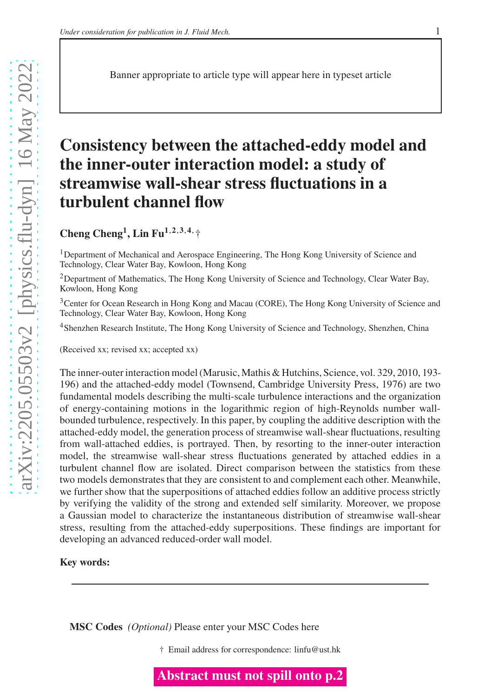Banner appropriate to article type will appear here in typeset article

# **Consistency between the attached-eddy model and the inner-outer interaction model: a study of streamwise wall-shear stress fluctuations in a turbulent channel flow**

**Cheng Cheng<sup>1</sup> , Lin Fu1**,**2**,**3**,**4**,†

<sup>1</sup>Department of Mechanical and Aerospace Engineering, The Hong Kong University of Science and Technology, Clear Water Bay, Kowloon, Hong Kong

<sup>2</sup>Department of Mathematics, The Hong Kong University of Science and Technology, Clear Water Bay, Kowloon, Hong Kong

<sup>3</sup>Center for Ocean Research in Hong Kong and Macau (CORE), The Hong Kong University of Science and Technology, Clear Water Bay, Kowloon, Hong Kong

<sup>4</sup>Shenzhen Research Institute, The Hong Kong University of Science and Technology, Shenzhen, China

(Received xx; revised xx; accepted xx)

The inner-outer interaction model (Marusic, Mathis & Hutchins, Science, vol. 329, 2010, 193- 196) and the attached-eddy model (Townsend, Cambridge University Press, 1976) are two fundamental models describing the multi-scale turbulence interactions and the organization of energy-containing motions in the logarithmic region of high-Reynolds number wallbounded turbulence, respectively. In this paper, by coupling the additive description with the attached-eddy model, the generation process of streamwise wall-shear fluctuations, resulting from wall-attached eddies, is portrayed. Then, by resorting to the inner-outer interaction model, the streamwise wall-shear stress fluctuations generated by attached eddies in a turbulent channel flow are isolated. Direct comparison between the statistics from these two models demonstrates that they are consistent to and complement each other. Meanwhile, we further show that the superpositions of attached eddies follow an additive process strictly by verifying the validity of the strong and extended self similarity. Moreover, we propose a Gaussian model to characterize the instantaneous distribution of streamwise wall-shear stress, resulting from the attached-eddy superpositions. These findings are important for developing an advanced reduced-order wall model.

### **Key words:**

**MSC Codes** *(Optional)* Please enter your MSC Codes here

† Email address for correspondence: linfu@ust.hk

**Abstract must not spill onto p.2**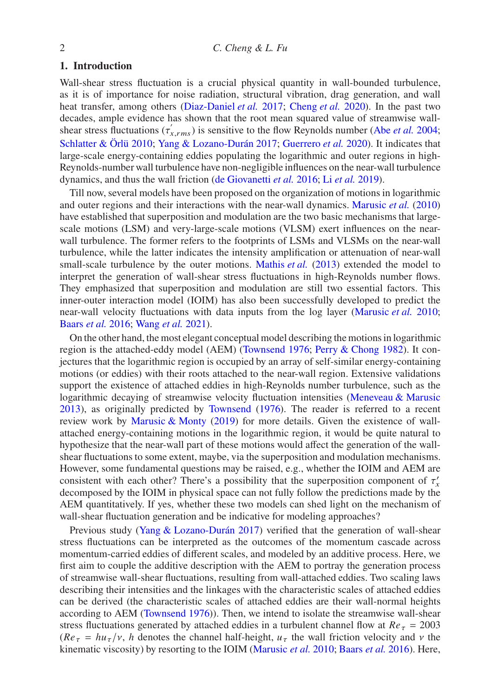### **1. Introduction**

Wall-shear stress fluctuation is a crucial physical quantity in wall-bounded turbulence, as it is of importance for noise radiation, structural vibration, drag generation, and wall heat transfer, among others [\(Diaz-Daniel](#page-8-0) *et al.* [2017;](#page-8-0) [Cheng](#page-8-1) *et al.* [2020\)](#page-8-1). In the past two decades, ample evidence has shown that the root mean squared value of streamwise wallshear stress fluctuations  $(\tau_{x,rms}')$  is sensitive to the flow Reynolds number (Abe *[et al.](#page-8-2)* [2004;](#page-8-2) [Schlatter & Örlü 2010](#page-9-0); [Yang & Lozano-Durán 2017;](#page-9-1) [Guerrero](#page-9-2) *et al.* [2020](#page-9-2)). It indicates that large-scale energy-containing eddies populating the logarithmic and outer regions in high-Reynolds-number wall turbulence have non-negligible influences on the near-wall turbulence dynamics, and thus the wall friction [\(de Giovanetti](#page-9-3) *et al.* [2016;](#page-9-3) Li *[et al.](#page-9-4)* [2019\)](#page-9-4).

Till now, several models have been proposed on the organization of motions in logarithmic and outer regions and their interactions with the near-wall dynamics. [Marusic](#page-9-5) *et al.* [\(2010](#page-9-5)) have established that superposition and modulation are the two basic mechanisms that largescale motions (LSM) and very-large-scale motions (VLSM) exert influences on the nearwall turbulence. The former refers to the footprints of LSMs and VLSMs on the near-wall turbulence, while the latter indicates the intensity amplification or attenuation of near-wall small-scale turbulence by the outer motions. [Mathis](#page-9-6) *et al.* [\(2013](#page-9-6)) extended the model to interpret the generation of wall-shear stress fluctuations in high-Reynolds number flows. They emphasized that superposition and modulation are still two essential factors. This inner-outer interaction model (IOIM) has also been successfully developed to predict the near-wall velocity fluctuations with data inputs from the log layer [\(Marusic](#page-9-5) *et al.* [2010;](#page-9-5) [Baars](#page-8-3) *et al.* [2016;](#page-8-3) [Wang](#page-9-7) *et al.* [2021\)](#page-9-7).

On the other hand, the most elegant conceptual model describing the motions in logarithmic region is the attached-eddy model (AEM) [\(Townsend 1976;](#page-9-8) [Perry & Chong 1982](#page-9-9)). It conjectures that the logarithmic region is occupied by an array of self-similar energy-containing motions (or eddies) with their roots attached to the near-wall region. Extensive validations support the existence of attached eddies in high-Reynolds number turbulence, such as the logarithmic decaying of streamwise velocity fluctuation intensities [\(Meneveau & Marusic](#page-9-10) [2013](#page-9-10)), as originally predicted by [Townsend](#page-9-8) [\(1976\)](#page-9-8). The reader is referred to a recent review work by [Marusic & Monty](#page-9-11) [\(2019](#page-9-11)) for more details. Given the existence of wallattached energy-containing motions in the logarithmic region, it would be quite natural to hypothesize that the near-wall part of these motions would affect the generation of the wallshear fluctuations to some extent, maybe, via the superposition and modulation mechanisms. However, some fundamental questions may be raised, e.g., whether the IOIM and AEM are consistent with each other? There's a possibility that the superposition component of  $\tau'_{x}$ decomposed by the IOIM in physical space can not fully follow the predictions made by the AEM quantitatively. If yes, whether these two models can shed light on the mechanism of wall-shear fluctuation generation and be indicative for modeling approaches?

Previous study [\(Yang & Lozano-Durán 2017\)](#page-9-1) verified that the generation of wall-shear stress fluctuations can be interpreted as the outcomes of the momentum cascade across momentum-carried eddies of different scales, and modeled by an additive process. Here, we first aim to couple the additive description with the AEM to portray the generation process of streamwise wall-shear fluctuations, resulting from wall-attached eddies. Two scaling laws describing their intensities and the linkages with the characteristic scales of attached eddies can be derived (the characteristic scales of attached eddies are their wall-normal heights according to AEM [\(Townsend 1976\)](#page-9-8)). Then, we intend to isolate the streamwise wall-shear stress fluctuations generated by attached eddies in a turbulent channel flow at  $Re_{\tau} = 2003$  $(Re_\tau = h u_\tau/v, h$  denotes the channel half-height,  $u_\tau$  the wall friction velocity and  $\nu$  the kinematic viscosity) by resorting to the IOIM [\(Marusic](#page-9-5) *et al.* [2010;](#page-9-5) [Baars](#page-8-3) *et al.* [2016](#page-8-3)). Here,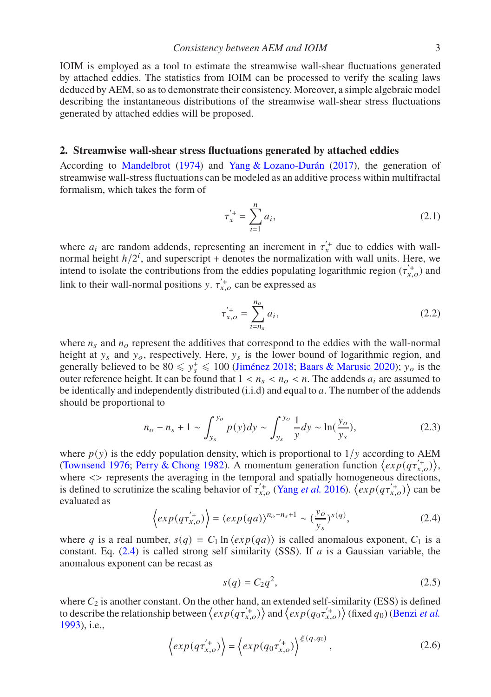IOIM is employed as a tool to estimate the streamwise wall-shear fluctuations generated by attached eddies. The statistics from IOIM can be processed to verify the scaling laws deduced by AEM, so as to demonstrate their consistency. Moreover, a simple algebraic model describing the instantaneous distributions of the streamwise wall-shear stress fluctuations generated by attached eddies will be proposed.

#### **2. Streamwise wall-shear stress fluctuations generated by attached eddies**

According to [Mandelbrot](#page-9-12) [\(1974\)](#page-9-12) and [Yang & Lozano-Durán](#page-9-1) [\(2017\)](#page-9-1), the generation of streamwise wall-stress fluctuations can be modeled as an additive process within multifractal formalism, which takes the form of

$$
\tau_x^{'+} = \sum_{i=1}^n a_i,\tag{2.1}
$$

where  $a_i$  are random addends, representing an increment in  $\tau_x^+$  due to eddies with wallnormal height  $h/2^i$ , and superscript + denotes the normalization with wall units. Here, we intend to isolate the contributions from the eddies populating logarithmic region  $(\tau_{x,o}^{\prime+})$  and link to their wall-normal positions y.  $\tau_{x,o}^{'}$  can be expressed as

<span id="page-2-1"></span>
$$
\tau_{x,o}^{'+} = \sum_{i=n_s}^{n_o} a_i,\tag{2.2}
$$

where  $n_s$  and  $n_o$  represent the additives that correspond to the eddies with the wall-normal height at  $y_s$  and  $y_o$ , respectively. Here,  $y_s$  is the lower bound of logarithmic region, and generally believed to be  $80 \le y_s^+ \le 100$  [\(Jiménez 2018](#page-9-13); [Baars & Marusic 2020\)](#page-8-4);  $y_o$  is the outer reference height. It can be found that  $1 < n_s < n_o < n$ . The addends  $a_i$  are assumed to be identically and independently distributed  $(i.i.d)$  and equal to  $a$ . The number of the addends should be proportional to

$$
n_o - n_s + 1 \sim \int_{y_s}^{y_o} p(y) dy \sim \int_{y_s}^{y_o} \frac{1}{y} dy \sim \ln(\frac{y_o}{y_s}),
$$
 (2.3)

where  $p(y)$  is the eddy population density, which is proportional to  $1/y$  according to AEM [\(Townsend 1976](#page-9-8); [Perry & Chong 1982](#page-9-9)). A momentum generation function  $\langle exp(q\tau_{x,o}^{'+})\rangle$ , where  $\langle \rangle$  represents the averaging in the temporal and spatially homogeneous directions, is defined to scrutinize the scaling behavior of  $\tau_{x,o}^{'+}$  [\(Yang](#page-9-14) *et al.* [2016\)](#page-9-14).  $\langle exp(q\tau_{x,o}^{'+})\rangle$  can be evaluated as

<span id="page-2-0"></span>
$$
\left\langle exp(q\tau_{x,o}^{'+})\right\rangle = \left\langle exp(qa)\right\rangle^{n_o - n_s + 1} \sim \left(\frac{y_o}{y_s}\right)^{s(q)},\tag{2.4}
$$

where q is a real number,  $s(q) = C_1 \ln \langle exp(qa) \rangle$  is called anomalous exponent,  $C_1$  is a constant. Eq.  $(2.4)$  is called strong self similarity (SSS). If  $a$  is a Gaussian variable, the anomalous exponent can be recast as

<span id="page-2-3"></span>
$$
s(q) = C_2 q^2,\tag{2.5}
$$

where  $C_2$  is another constant. On the other hand, an extended self-similarity (ESS) is defined to describe the relationship between  $\langle exp(q\tau_{x,o}^{+})\rangle$  and  $\langle exp(q\tau_{x,o}^{+})\rangle$  (fixed  $q_0$ ) [\(Benzi](#page-8-5) *et al.* [1993](#page-8-5)), i.e.,

<span id="page-2-2"></span>
$$
\left\langle exp(q\tau_{x,o}^{'+})\right\rangle = \left\langle exp(q_0\tau_{x,o}^{'+})\right\rangle^{\xi(q,q_0)},\tag{2.6}
$$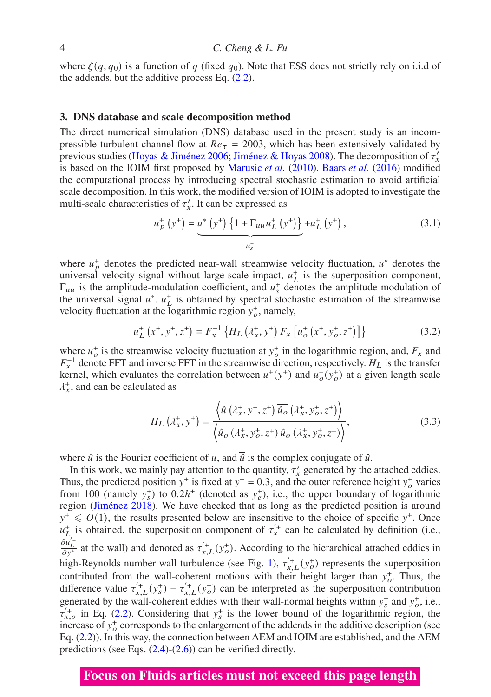where  $\xi(q, q_0)$  is a function of q (fixed  $q_0$ ). Note that ESS does not strictly rely on i.i.d of the addends, but the additive process Eq.  $(2.2)$ .

### **3. DNS database and scale decomposition method**

The direct numerical simulation (DNS) database used in the present study is an incompressible turbulent channel flow at  $Re_{\tau} = 2003$ , which has been extensively validated by previous studies [\(Hoyas & Jiménez 2006;](#page-9-15) [Jiménez & Hoyas 2008\)](#page-9-16). The decomposition of  $\tau'_x$ is based on the IOIM first proposed by [Marusic](#page-9-5) *et al.* [\(2010\)](#page-9-5). [Baars](#page-8-3) *et al.* [\(2016\)](#page-8-3) modified the computational process by introducing spectral stochastic estimation to avoid artificial scale decomposition. In this work, the modified version of IOIM is adopted to investigate the multi-scale characteristics of  $\tau'_x$ . It can be expressed as

$$
u_p^+\left(y^+\right) = \underbrace{u^*\left(y^+\right)\left\{1 + \Gamma_{uu}u_L^+\left(y^+\right)\right\}}_{u_s^+} + u_L^+\left(y^+\right),\tag{3.1}
$$

where  $u_p^+$  denotes the predicted near-wall streamwise velocity fluctuation,  $u^*$  denotes the universal velocity signal without large-scale impact,  $u<sub>L</sub><sup>+</sup>$  is the superposition component,  $\Gamma_{uu}$  is the amplitude-modulation coefficient, and  $u_s^+$  denotes the amplitude modulation of the universal signal  $u^*$ ,  $u^+$  is obtained by spectral stochastic estimation of the streamwise velocity fluctuation at the logarithmic region  $y_o^+$ , namely,

$$
u_L^+ (x^+, y^+, z^+) = F_x^{-1} \left\{ H_L ( \lambda_x^+, y^+) F_x \left[ u_o^+ (x^+, y_o^+, z^+) \right] \right\}
$$
 (3.2)

where  $u^+$  is the streamwise velocity fluctuation at  $y^+$  in the logarithmic region, and,  $F_x$  and  $F_x^{-1}$  denote FFT and inverse FFT in the streamwise direction, respectively.  $H_L$  is the transfer kernel, which evaluates the correlation between  $u^+(y^+)$  and  $u^+_o(y^+_o)$  at a given length scale  $\lambda_x^+$ , and can be calculated as

$$
H_L\left(\lambda_x^+, y^+\right) = \frac{\left\langle \hat{u}\left(\lambda_x^+, y^+, z^+\right) \overline{\hat{u}_o}\left(\lambda_x^+, y_o^+, z^+\right) \right\rangle}{\left\langle \hat{u}_o\left(\lambda_x^+, y_o^+, z^+\right) \overline{\hat{u}_o}\left(\lambda_x^+, y_o^+, z^+\right) \right\rangle},\tag{3.3}
$$

where  $\hat{u}$  is the Fourier coefficient of u, and  $\hat{u}$  is the complex conjugate of  $\hat{u}$ .

In this work, we mainly pay attention to the quantity,  $\tau'_{x}$  generated by the attached eddies. Thus, the predicted position  $y^+$  is fixed at  $y^+ = 0.3$ , and the outer reference height  $y^+$  varies from 100 (namely  $y_s^+$ ) to  $0.2h^+$  (denoted as  $y_e^+$ ), i.e., the upper boundary of logarithmic region [\(Jiménez 2018\)](#page-9-13). We have checked that as long as the predicted position is around  $y^+ \leq O(1)$ , the results presented below are insensitive to the choice of specific  $y^+$ . Once  $u_L^+$  is obtained, the superposition component of  $\tau_x^+$  can be calculated by definition (i.e.,  $\frac{\partial u'_L}{\partial y^+}$  at the wall) and denoted as  $\tau'_{x,L}(y_o^+)$ . According to the hierarchical attached eddies in high-Reynolds number wall turbulence (see Fig. [1\)](#page-4-0),  $\tau_{x,L}^{(+)}(y_o^+)$  represents the superposition contributed from the wall-coherent motions with their height larger than  $y_o^+$ . Thus, the difference value  $\tau_{x,L}^{(+)}(y_s^+) - \tau_{x,L}^{(+)}(y_o^+)$  can be interpreted as the superposition contribution generated by the wall-coherent eddies with their wall-normal heights within  $y_s^+$  and  $y_o^+$ , i.e.,  $\tau_{x,o}^{'+}$  in Eq. [\(2.2\)](#page-2-1). Considering that  $y_s^+$  is the lower bound of the logarithmic region, the increase of  $y_o^+$  corresponds to the enlargement of the addends in the additive description (see Eq. [\(2.2\)](#page-2-1)). In this way, the connection between AEM and IOIM are established, and the AEM predictions (see Eqs.  $(2.4)-(2.6)$  $(2.4)-(2.6)$ ) can be verified directly.

### **Focus on Fluids articles must not exceed this page length**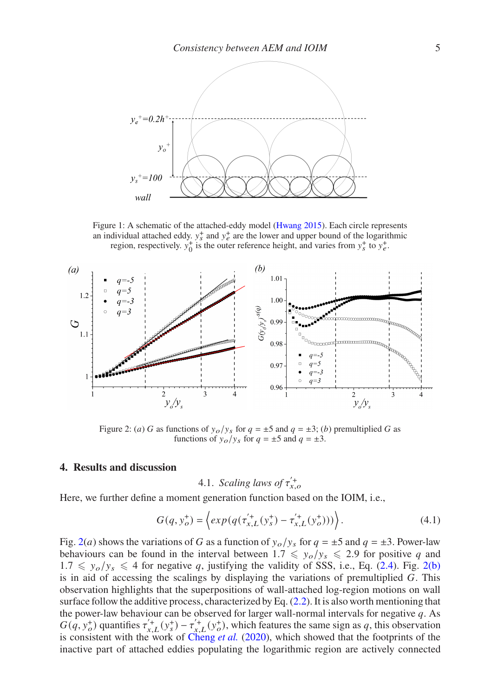<span id="page-4-0"></span>

Figure 1: A schematic of the attached-eddy model [\(Hwang 2015](#page-9-17)). Each circle represents an individual attached eddy.  $y_s^+$  and  $y_e^+$  are the lower and upper bound of the logarithmic region, respectively.  $y_0^+$  is the outer reference height, and varies from  $y_s^+$  to  $y_e^+$ .

<span id="page-4-1"></span>

Figure 2: (*a*) G as functions of  $y_o/y_s$  for  $q = \pm 5$  and  $q = \pm 3$ ; (*b*) premultiplied G as functions of  $y_o/y_s$  for  $q = \pm 5$  and  $q = \pm 3$ .

#### **4. Results and discussion**

<span id="page-4-2"></span>4.1. Scaling laws of 
$$
\tau_{x,o}^{'+}
$$

Here, we further define a moment generation function based on the IOIM, i.e.,

$$
G(q, y_o^+) = \left\langle exp(q(\tau_{x,L}^{\'{+}}(y_s^+) - \tau_{x,L}^{\'{+}}(y_o^+))) \right\rangle.
$$
 (4.1)

Fig. [2\(](#page-4-1)*a*) shows the variations of G as a function of  $y_o/y_s$  for  $q = \pm 5$  and  $q = \pm 3$ . Power-law behaviours can be found in the interval between  $1.7 \leq y_o/y_s \leq 2.9$  for positive q and  $1.7 \leq y_o/y_s \leq 4$  for negative q, justifying the validity of SSS, i.e., Eq. [\(2.4\)](#page-2-0). Fig. [2\(b\)](#page-4-2) is in aid of accessing the scalings by displaying the variations of premultiplied  $G$ . This observation highlights that the superpositions of wall-attached log-region motions on wall surface follow the additive process, characterized by Eq. [\(2.2\)](#page-2-1). It is also worth mentioning that the power-law behaviour can be observed for larger wall-normal intervals for negative  $q$ . As  $G(q, y_o^+)$  quantifies  $\tau_{x,L}^{(+}(y_s^+) - \tau_{x,L}^{(+}(y_o^+))$ , which features the same sign as q, this observation is consistent with the work of [Cheng](#page-8-1) *et al.* [\(2020](#page-8-1)), which showed that the footprints of the inactive part of attached eddies populating the logarithmic region are actively connected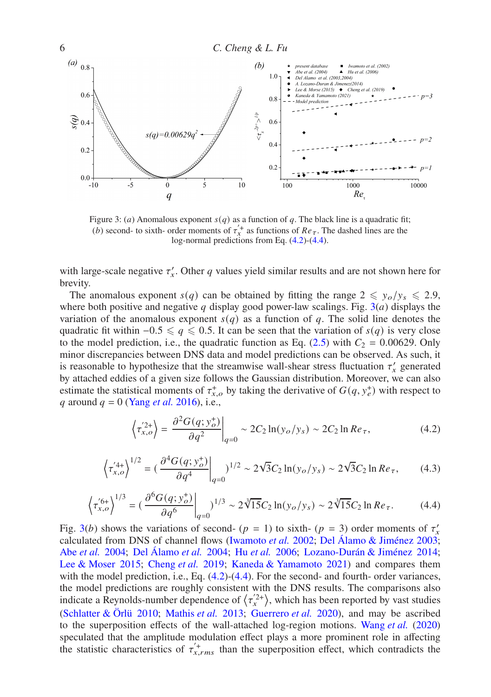<span id="page-5-2"></span>

Figure 3: (a) Anomalous exponent  $s(q)$  as a function of q. The black line is a quadratic fit; (*b*) second- to sixth- order moments of  $\tau_x^+$  as functions of  $Re_\tau$ . The dashed lines are the log-normal predictions from Eq. [\(4.2\)](#page-5-0)-[\(4.4\)](#page-5-1).

with large-scale negative  $\tau'_x$ . Other q values yield similar results and are not shown here for brevity.

The anomalous exponent  $s(q)$  can be obtained by fitting the range  $2 \leq y_o/y_s \leq 2.9$ , where both positive and negative q display good power-law scalings. Fig.  $3(a)$  $3(a)$  displays the variation of the anomalous exponent  $s(q)$  as a function of q. The solid line denotes the quadratic fit within  $-0.5 \leq q \leq 0.5$ . It can be seen that the variation of  $s(q)$  is very close to the model prediction, i.e., the quadratic function as Eq.  $(2.5)$  with  $C_2 = 0.00629$ . Only minor discrepancies between DNS data and model predictions can be observed. As such, it is reasonable to hypothesize that the streamwise wall-shear stress fluctuation  $\tau'_{x}$  generated by attached eddies of a given size follows the Gaussian distribution. Moreover, we can also estimate the statistical moments of  $\tau_{x,o}^+$  by taking the derivative of  $G(q, y_e^+)$  with respect to q around  $q = 0$  [\(Yang](#page-9-14) *et al.* [2016\)](#page-9-14), i.e.,

<span id="page-5-0"></span>
$$
\left\langle \tau_{x,o}^{'2+} \right\rangle = \left. \frac{\partial^2 G(q; y_o^+)}{\partial q^2} \right|_{q=0} \sim 2C_2 \ln(y_o/y_s) \sim 2C_2 \ln Re_\tau,
$$
\n(4.2)

$$
\left\langle \tau_{x,o}^{'4+} \right\rangle^{1/2} = \left( \frac{\partial^4 G(q; y_o^+)}{\partial q^4} \bigg|_{q=0} \right)^{1/2} \sim 2\sqrt{3} C_2 \ln(y_o/y_s) \sim 2\sqrt{3} C_2 \ln Re_\tau, \tag{4.3}
$$

<span id="page-5-1"></span>
$$
\left\langle \tau_{x,o}^{'6+} \right\rangle^{1/3} = \left( \frac{\partial^6 G(q; y_o^+)}{\partial q^6} \bigg|_{q=0} \right)^{1/3} \sim 2\sqrt[3]{15}C_2 \ln(y_o/y_s) \sim 2\sqrt[3]{15}C_2 \ln Re_\tau. \tag{4.4}
$$

Fig. [3\(](#page-5-2)b) shows the variations of second- ( $p = 1$ ) to sixth- ( $p = 3$ ) order moments of  $\tau'_x$ calculated from DNS of channel flows [\(Iwamoto](#page-9-18) *et al.* [2002](#page-9-18); [Del Álamo & Jiménez 2003;](#page-8-6) Abe *[et al.](#page-8-2)* [2004](#page-8-2); [Del Álamo](#page-8-7) *et al.* [2004;](#page-8-7) Hu *[et al.](#page-9-19)* [2006;](#page-9-19) [Lozano-Durán & Jiménez 2014;](#page-9-20) [Lee & Moser 2015;](#page-9-21) [Cheng](#page-8-8) *et al.* [2019](#page-8-8); [Kaneda & Yamamoto 2021](#page-9-22)) and compares them with the model prediction, i.e., Eq.  $(4.2)$ - $(4.4)$ . For the second- and fourth- order variances, the model predictions are roughly consistent with the DNS results. The comparisons also indicate a Reynolds-number dependence of  $\langle \tau_x^2 \rangle$ , which has been reported by vast studies [\(Schlatter & Örlü 2010;](#page-9-0) [Mathis](#page-9-6) *et al.* [2013;](#page-9-6) [Guerrero](#page-9-2) *et al.* [2020\)](#page-9-2), and may be ascribed to the superposition effects of the wall-attached log-region motions. [Wang](#page-9-23) *et al.* [\(2020](#page-9-23)) speculated that the amplitude modulation effect plays a more prominent role in affecting the statistic characteristics of  $\tau_{x,rms}^{\prime+}$  than the superposition effect, which contradicts the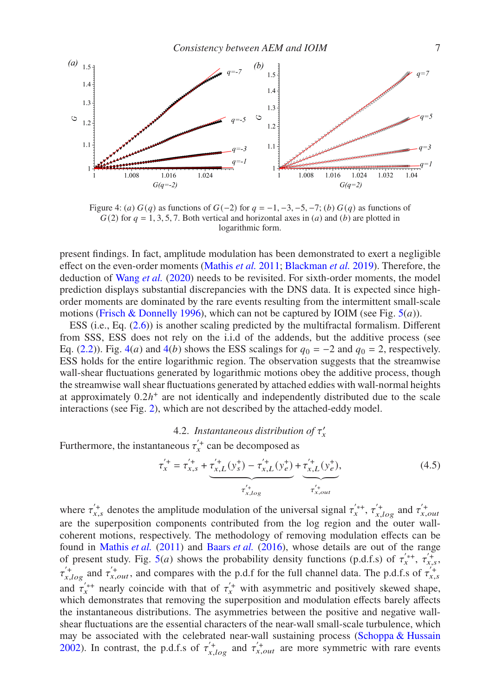<span id="page-6-0"></span>

Figure 4: (a)  $G(q)$  as functions of  $G(-2)$  for  $q = -1, -3, -5, -7$ ; (b)  $G(q)$  as functions of  $G(2)$  for  $q = 1, 3, 5, 7$ . Both vertical and horizontal axes in (*a*) and (*b*) are plotted in logarithmic form.

present findings. In fact, amplitude modulation has been demonstrated to exert a negligible effect on the even-order moments [\(Mathis](#page-9-24) *et al.* [2011](#page-9-24); [Blackman](#page-8-9) *et al.* [2019\)](#page-8-9). Therefore, the deduction of [Wang](#page-9-23) *et al.* [\(2020](#page-9-23)) needs to be revisited. For sixth-order moments, the model prediction displays substantial discrepancies with the DNS data. It is expected since highorder moments are dominated by the rare events resulting from the intermittent small-scale motions [\(Frisch & Donnelly 1996\)](#page-8-10), which can not be captured by IOIM (see Fig.  $5(a)$  $5(a)$ ).

ESS (i.e., Eq. [\(2.6\)](#page-2-2)) is another scaling predicted by the multifractal formalism. Different from SSS, ESS does not rely on the i.i.d of the addends, but the additive process (see Eq. [\(2.2\)](#page-2-1)). Fig. [4\(](#page-6-0)*a*) and 4(*b*) shows the ESS scalings for  $q_0 = -2$  and  $q_0 = 2$ , respectively. ESS holds for the entire logarithmic region. The observation suggests that the streamwise wall-shear fluctuations generated by logarithmic motions obey the additive process, though the streamwise wall shear fluctuations generated by attached eddies with wall-normal heights at approximately  $0.2h<sup>+</sup>$  are not identically and independently distributed due to the scale interactions (see Fig. [2\)](#page-4-1), which are not described by the attached-eddy model.

### 4.2. Instantaneous distribution of  $\tau'_x$

Furthermore, the instantaneous  $\tau_x^{\prime +}$  can be decomposed as

$$
\tau_x^{'+} = \tau_{x,s}^{'+} + \underbrace{\tau_{x,L}^{'+}(y_s^+) - \tau_{x,L}^{'+}(y_e^+)}_{\tau_{x,log}^{'+}} + \underbrace{\tau_{x,L}^{'+}(y_e^+)}_{\tau_{x,out}^{'+}},
$$
\n(4.5)

where  $\tau_{x,s}^{(+)}$  denotes the amplitude modulation of the universal signal  $\tau_{x}^{(+)}$ ,  $\tau_{x,log}^{(+)}$  and  $\tau_{x,out}^{(+)}$ are the superposition components contributed from the log region and the outer wallcoherent motions, respectively. The methodology of removing modulation effects can be found in [Mathis](#page-9-24) *et al.* [\(2011](#page-9-24)) and [Baars](#page-8-3) *et al.* [\(2016\)](#page-8-3), whose details are out of the range of present study. Fig.  $5(a)$  $5(a)$  shows the probability density functions (p.d.f.s) of  $\tau_x^{*,+}$ ,  $\tau_{x,s}^{'+}$ ,  $\tau'_{x,log}$  and  $\tau'_{x,out}$ , and compares with the p.d.f for the full channel data. The p.d.f.s of  $\tau'_{x,s}$ and  $\tau_{x}^{'*+}$  nearly coincide with that of  $\tau_{x}^{'+}$  with asymmetric and positively skewed shape, which demonstrates that removing the superposition and modulation effects barely affects the instantaneous distributions. The asymmetries between the positive and negative wallshear fluctuations are the essential characters of the near-wall small-scale turbulence, which may be associated with the celebrated near-wall sustaining process [\(Schoppa & Hussain](#page-9-25) [2002](#page-9-25)). In contrast, the p.d.f.s of  $\tau_{x, log}^{+}$  and  $\tau_{x,out}^{+}$  are more symmetric with rare events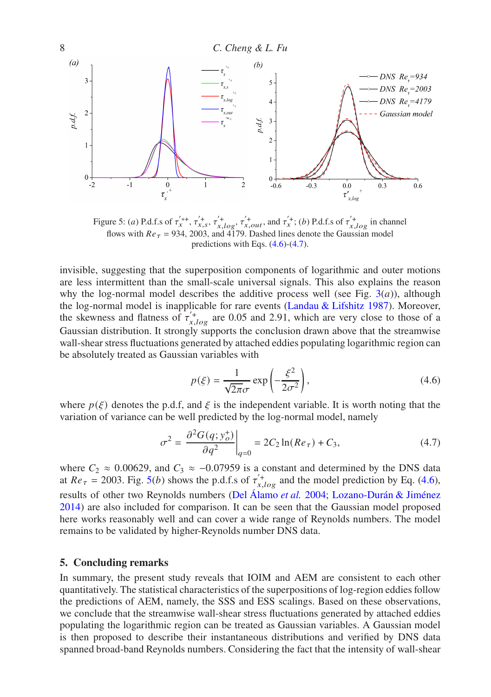<span id="page-7-0"></span>

Figure 5: (a) P.d.f.s of  $\tau_{x}^{'+}, \tau_{x,s}^{'}$ ,  $\tau_{x,log}^{'}$ ,  $\tau_{x,out}^{'}$ , and  $\tau_{x}^{'}$ ; (b) P.d.f.s of  $\tau_{x,log}^{'}$  in channel flows with  $Re_\tau$  = 934, 2003, and 4179. Dashed lines denote the Gaussian model predictions with Eqs.  $(4.6)-(4.7)$  $(4.6)-(4.7)$ .

invisible, suggesting that the superposition components of logarithmic and outer motions are less intermittent than the small-scale universal signals. This also explains the reason why the log-normal model describes the additive process well (see Fig.  $3(a)$  $3(a)$ ), although the log-normal model is inapplicable for rare events [\(Landau & Lifshitz 1987\)](#page-9-26). Moreover, the skewness and flatness of  $\tau_{x, log}^{+}$  are 0.05 and 2.91, which are very close to those of a Gaussian distribution. It strongly supports the conclusion drawn above that the streamwise wall-shear stress fluctuations generated by attached eddies populating logarithmic region can be absolutely treated as Gaussian variables with

<span id="page-7-1"></span>
$$
p(\xi) = \frac{1}{\sqrt{2\pi}\sigma} \exp\left(-\frac{\xi^2}{2\sigma^2}\right),\tag{4.6}
$$

where  $p(\xi)$  denotes the p.d.f, and  $\xi$  is the independent variable. It is worth noting that the variation of variance can be well predicted by the log-normal model, namely

<span id="page-7-2"></span>
$$
\sigma^2 = \left. \frac{\partial^2 G(q; y_o^+)}{\partial q^2} \right|_{q=0} = 2C_2 \ln(Re_\tau) + C_3,
$$
\n(4.7)

where  $C_2 \approx 0.00629$ , and  $C_3 \approx -0.07959$  is a constant and determined by the DNS data at  $Re_{\tau} = 2003$ . Fig. [5\(](#page-7-0)*b*) shows the p.d.f.s of  $\tau_{x, log}^{+}$  and the model prediction by Eq. [\(4.6\)](#page-7-1), results of other two Reynolds numbers [\(Del Álamo](#page-8-7) *et al.* [2004;](#page-8-7) [Lozano-Durán & Jiménez](#page-9-20) [2014](#page-9-20)) are also included for comparison. It can be seen that the Gaussian model proposed here works reasonably well and can cover a wide range of Reynolds numbers. The model remains to be validated by higher-Reynolds number DNS data.

### **5. Concluding remarks**

In summary, the present study reveals that IOIM and AEM are consistent to each other quantitatively. The statistical characteristics of the superpositions of log-region eddies follow the predictions of AEM, namely, the SSS and ESS scalings. Based on these observations, we conclude that the streamwise wall-shear stress fluctuations generated by attached eddies populating the logarithmic region can be treated as Gaussian variables. A Gaussian model is then proposed to describe their instantaneous distributions and verified by DNS data spanned broad-band Reynolds numbers. Considering the fact that the intensity of wall-shear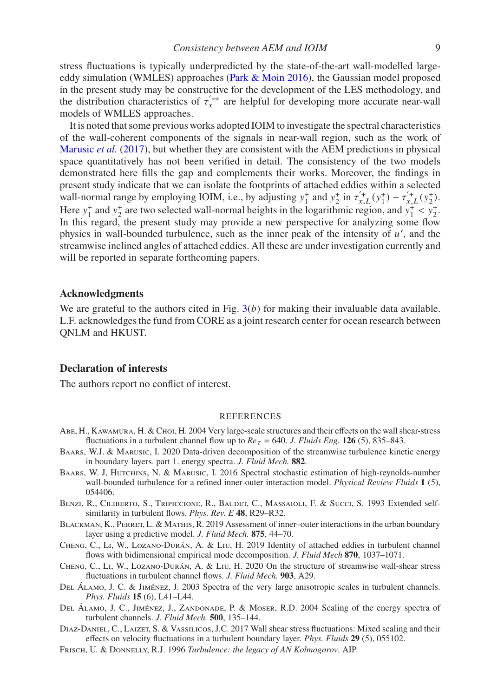stress fluctuations is typically underpredicted by the state-of-the-art wall-modelled largeeddy simulation (WMLES) approaches [\(Park & Moin 2016\)](#page-9-27), the Gaussian model proposed in the present study may be constructive for the development of the LES methodology, and the distribution characteristics of  $\tau_{x}^{*+}$  are helpful for developing more accurate near-wall models of WMLES approaches.

It is noted that some previous works adopted IOIM to investigate the spectral characteristics of the wall-coherent components of the signals in near-wall region, such as the work of [Marusic](#page-9-28) *et al.* [\(2017\)](#page-9-28), but whether they are consistent with the AEM predictions in physical space quantitatively has not been verified in detail. The consistency of the two models demonstrated here fills the gap and complements their works. Moreover, the findings in present study indicate that we can isolate the footprints of attached eddies within a selected wall-normal range by employing IOIM, i.e., by adjusting  $y_1^+$  and  $y_2^+$  in  $\tau_{x,L}^{\prime +}(y_1^+) - \tau_{x,L}^{\prime +}(y_2^+)$ . Here  $y_1^+$  and  $y_2^+$  are two selected wall-normal heights in the logarithmic region, and  $y_1^+ < y_2^+$ . In this regard, the present study may provide a new perspective for analyzing some flow physics in wall-bounded turbulence, such as the inner peak of the intensity of  $u'$ , and the streamwise inclined angles of attached eddies. All these are under investigation currently and will be reported in separate forthcoming papers.

### **Acknowledgments**

We are grateful to the authors cited in Fig.  $3(b)$  $3(b)$  for making their invaluable data available. L.F. acknowledges the fund from CORE as a joint research center for ocean research between QNLM and HKUST.

### **Declaration of interests**

The authors report no conflict of interest.

#### REFERENCES

- <span id="page-8-2"></span>Abe, H., Kawamura, H. & Choi, H. 2004 Very large-scale structures and their effects on the wall shear-stress fluctuations in a turbulent channel flow up to  $Re_\tau$  = 640. *J. Fluids Eng.* **126** (5), 835–843.
- <span id="page-8-4"></span>Baars, W.J. & Marusic, I. 2020 Data-driven decomposition of the streamwise turbulence kinetic energy in boundary layers. part 1. energy spectra. *J. Fluid Mech.* **882**.
- <span id="page-8-3"></span>BAARS, W. J, HUTCHINS, N. & MARUSIC, I. 2016 Spectral stochastic estimation of high-reynolds-number wall-bounded turbulence for a refined inner-outer interaction model. *Physical Review Fluids* **1** (5), 054406.
- <span id="page-8-5"></span>Benzi, R., Ciliberto, S., Tripiccione, R., Baudet, C., Massaioli, F. & Succi, S. 1993 Extended selfsimilarity in turbulent flows. *Phys. Rev. E* **48**, R29–R32.
- <span id="page-8-9"></span>BLACKMAN, K., PERRET, L. & MATHIS, R. 2019 Assessment of inner–outer interactions in the urban boundary layer using a predictive model. *J. Fluid Mech.* **875**, 44–70.
- <span id="page-8-8"></span>Cheng, C., Li, W., Lozano-Durán, A. & Liu, H. 2019 Identity of attached eddies in turbulent channel flows with bidimensional empirical mode decomposition. *J. Fluid Mech* **870**, 1037–1071.
- <span id="page-8-1"></span>Cheng, C., Li, W., Lozano-Durán, A. & Liu, H. 2020 On the structure of streamwise wall-shear stress fluctuations in turbulent channel flows. *J. Fluid Mech.* **903**, A29.
- <span id="page-8-6"></span>Del Álamo, J. C. & Jiménez, J. 2003 Spectra of the very large anisotropic scales in turbulent channels. *Phys. Fluids* **15** (6), L41–L44.
- <span id="page-8-7"></span>Del Álamo, J. C., Jiménez, J., Zandonade, P. & Moser, R.D. 2004 Scaling of the energy spectra of turbulent channels. *J. Fluid Mech.* **500**, 135–144.
- <span id="page-8-0"></span>DIAZ-DANIEL, C., LAIZET, S. & VASSILICOS, J.C. 2017 Wall shear stress fluctuations: Mixed scaling and their effects on velocity fluctuations in a turbulent boundary layer. *Phys. Fluids* **29** (5), 055102.
- <span id="page-8-10"></span>Frisch, U. & Donnelly, R.J. 1996 *Turbulence: the legacy of AN Kolmogorov*. AIP.